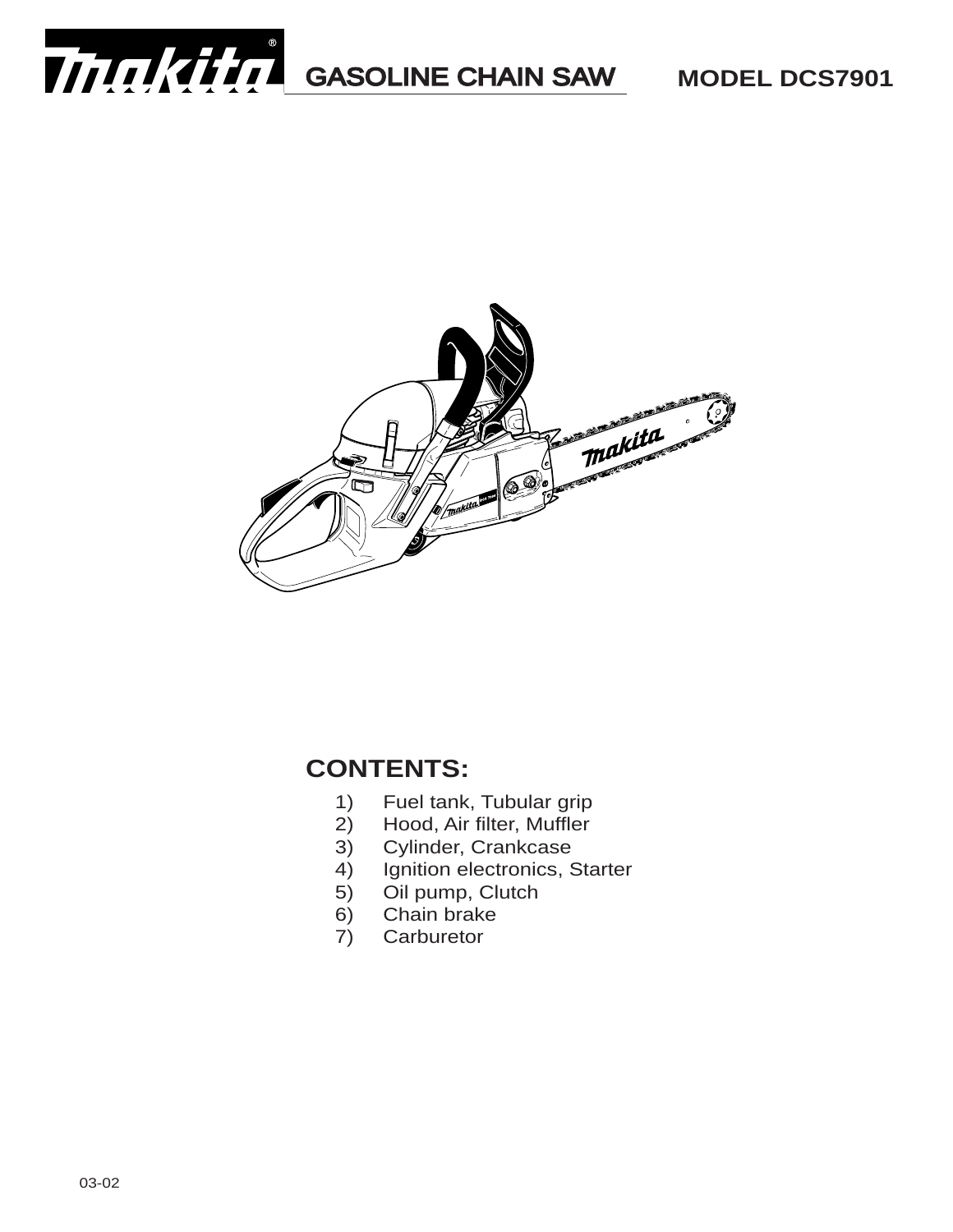



#### **CONTENTS:**

- 1) Fuel tank, Tubular grip<br>2) Hood, Air filter, Muffler
- Hood, Air filter, Muffler
- 3) Cylinder, Crankcase
- 4) Ignition electronics, Starter
- 5) Oil pump, Clutch
- 6) Chain brake
- 7) Carburetor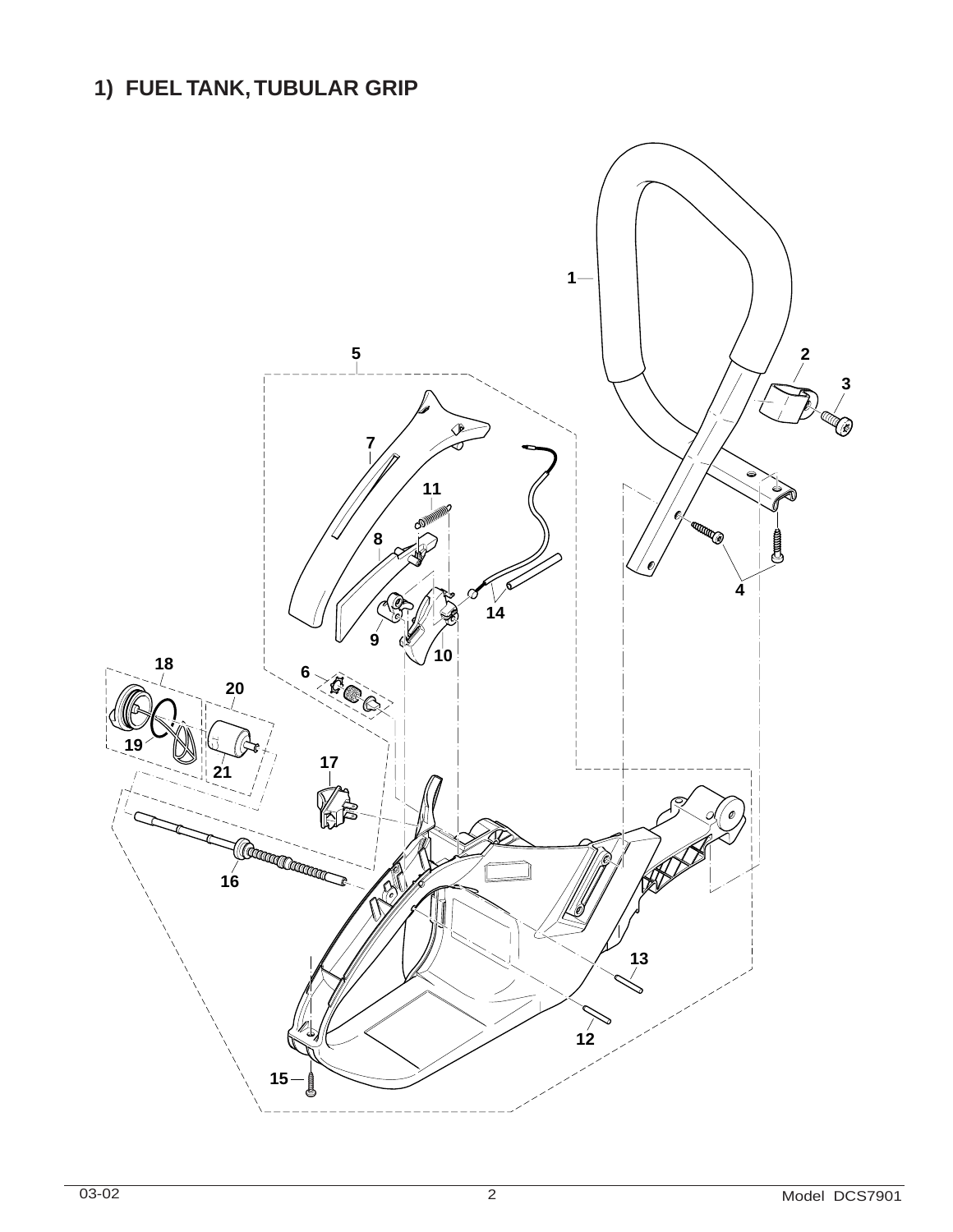# **1) FUEL TANK,TUBULAR GRIP**

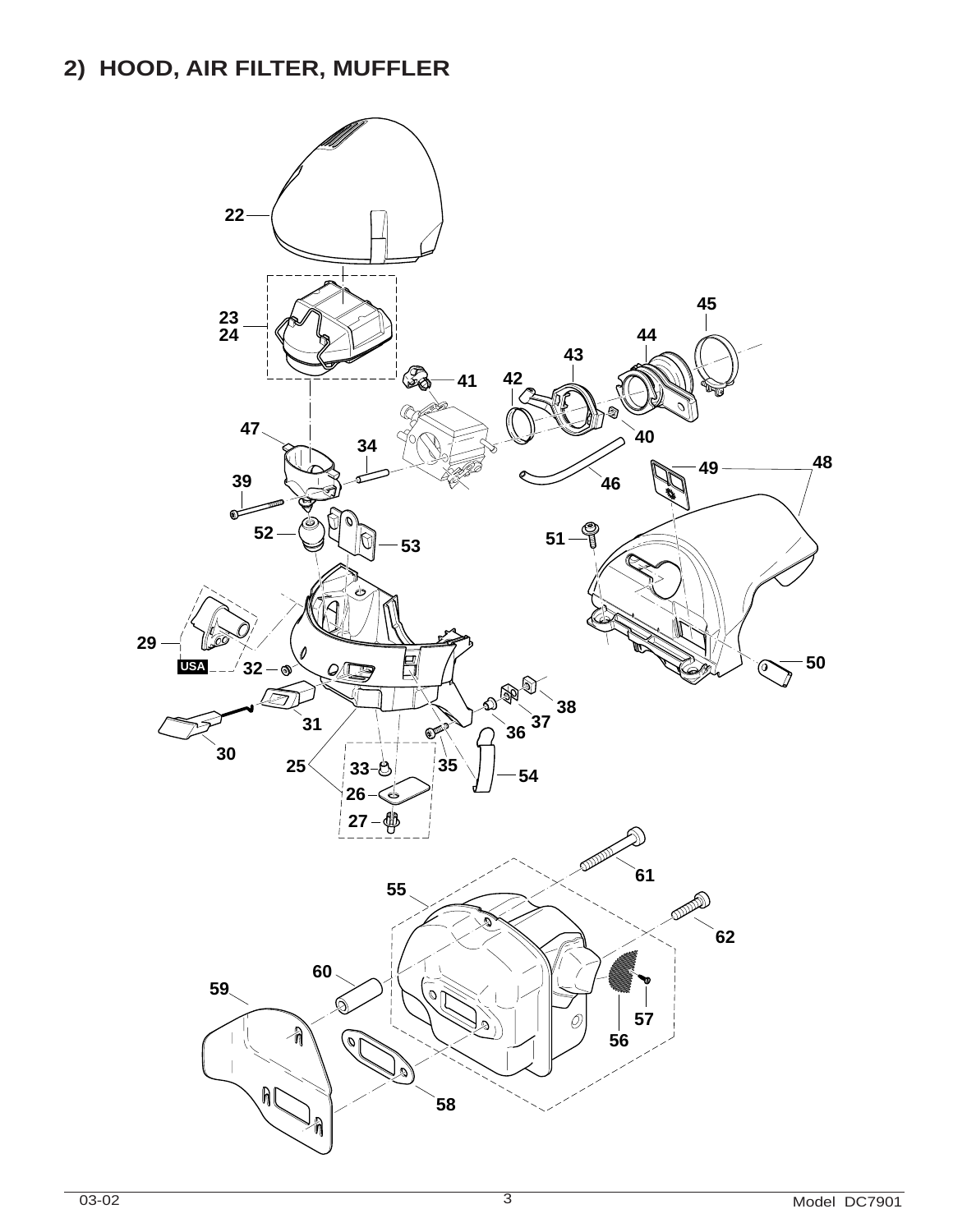#### **2) HOOD, AIR FILTER, MUFFLER**

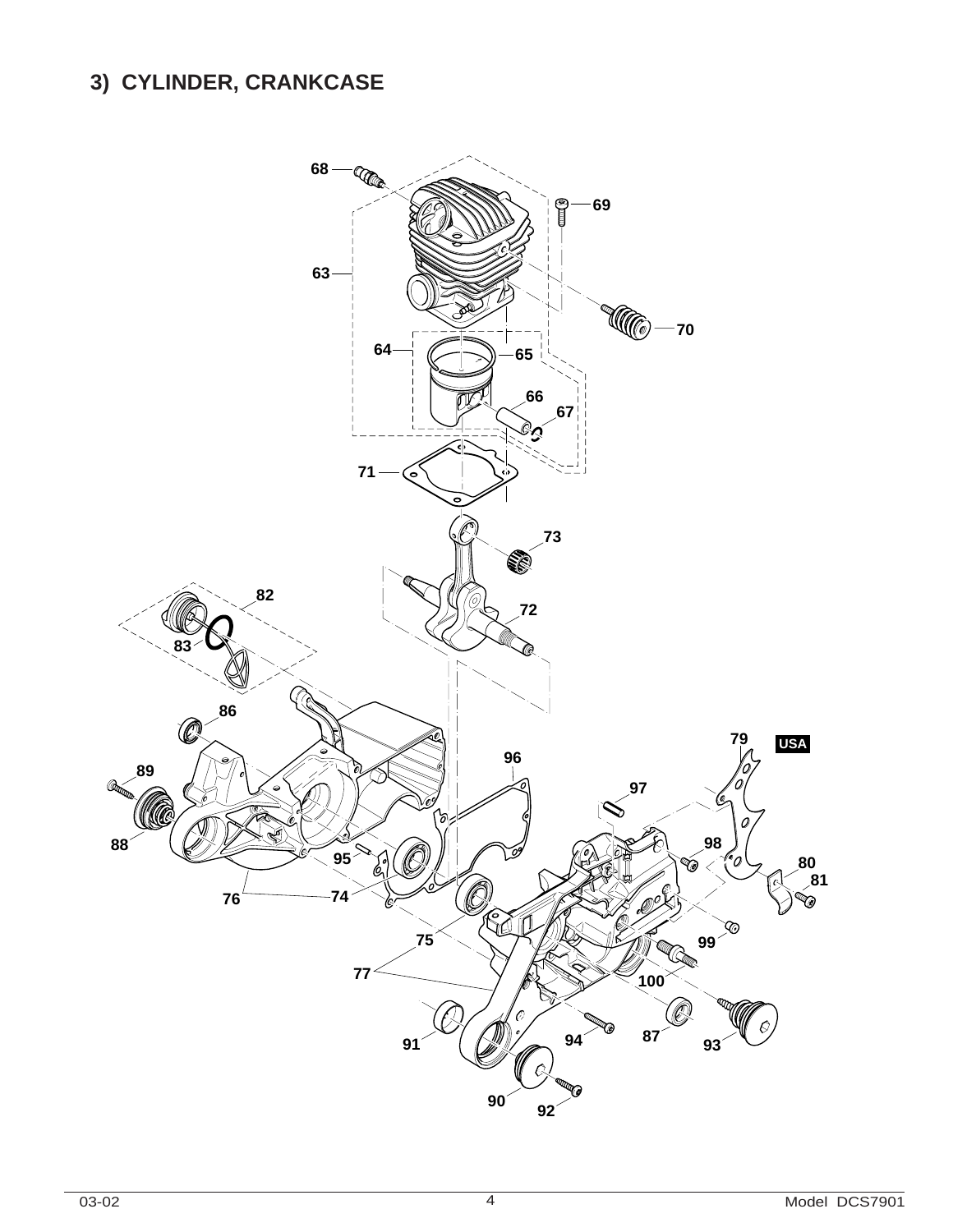# **3) CYLINDER, CRANKCASE**

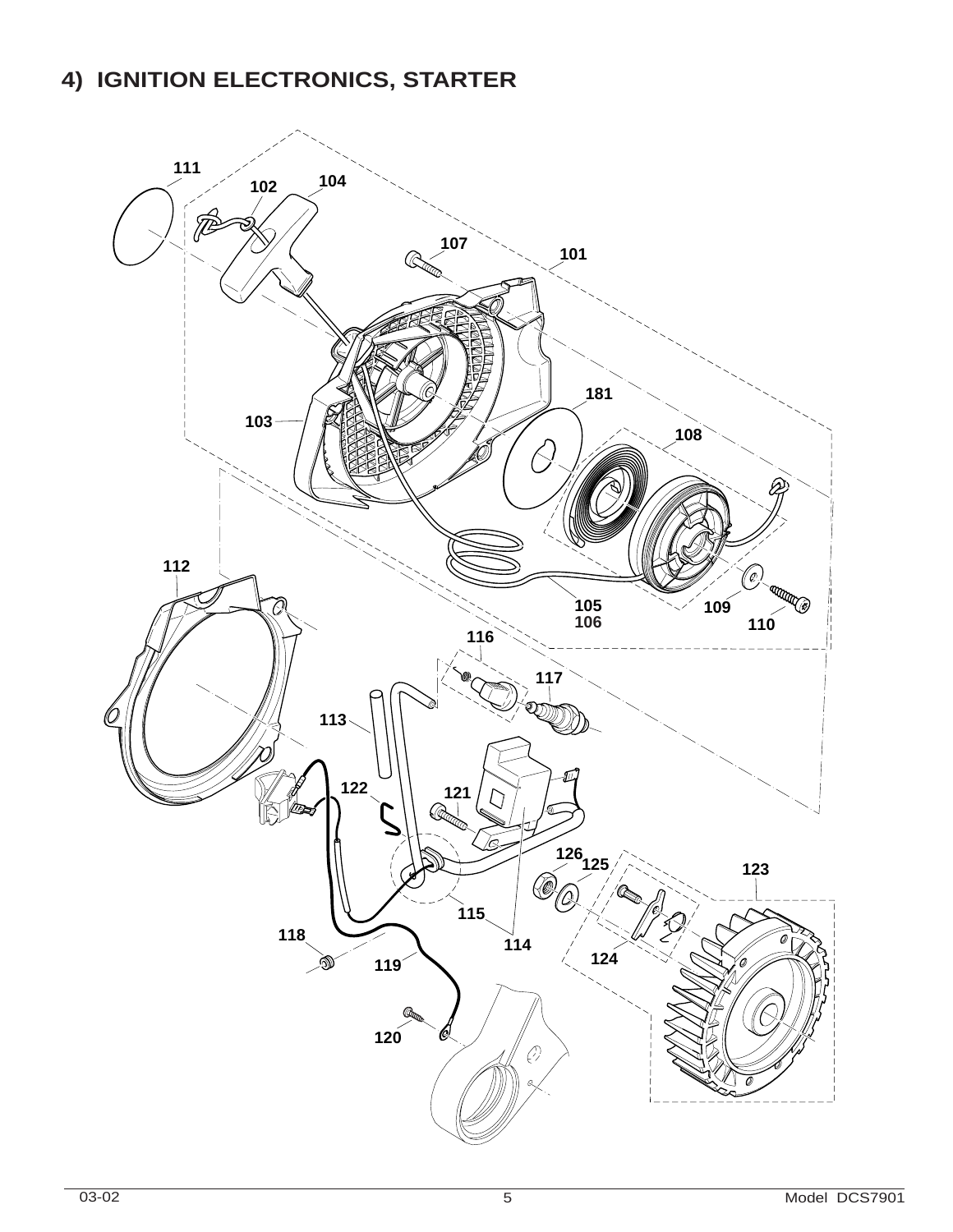## **4) IGNITION ELECTRONICS, STARTER**

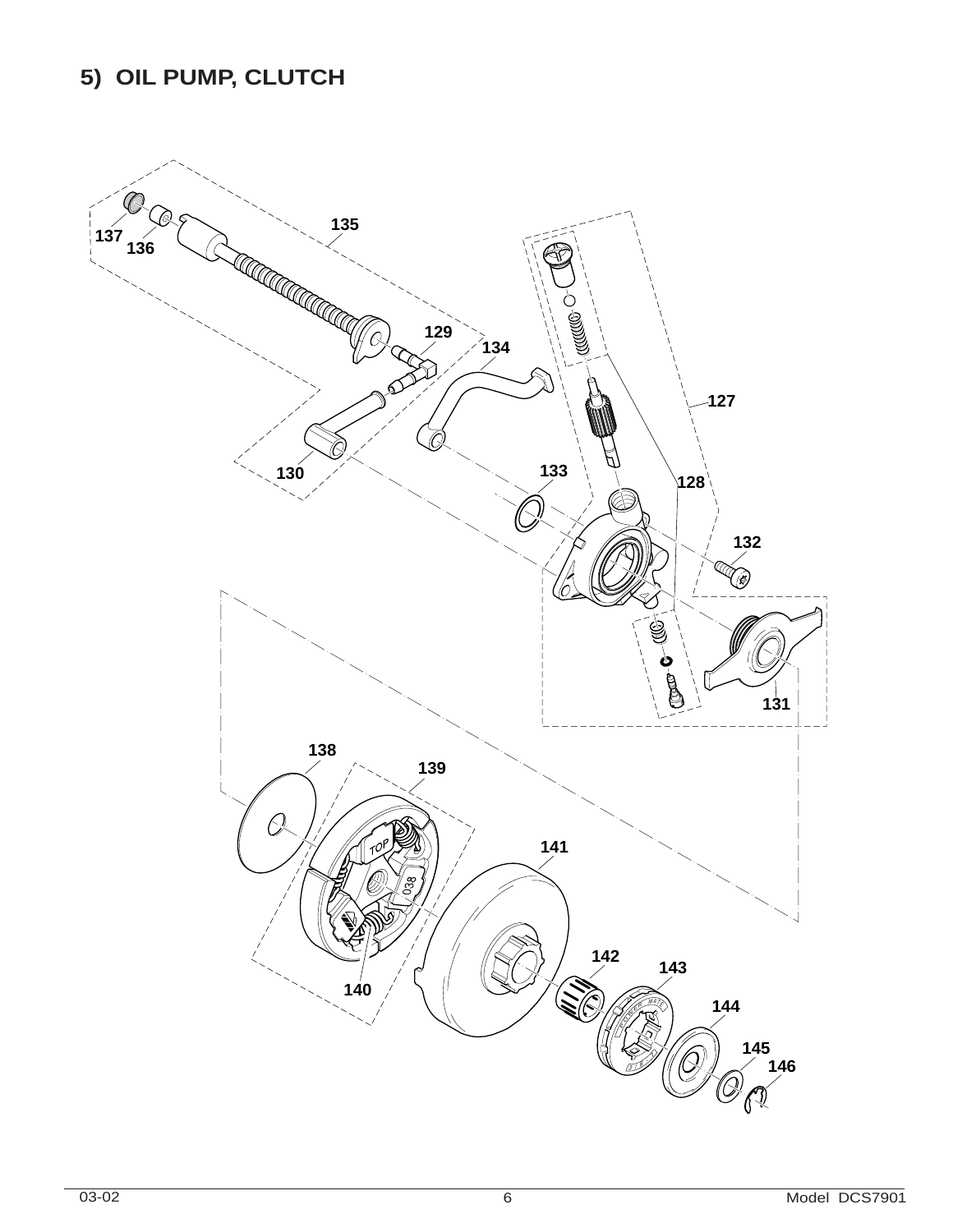## **5) OIL PUMP, CLUTCH**

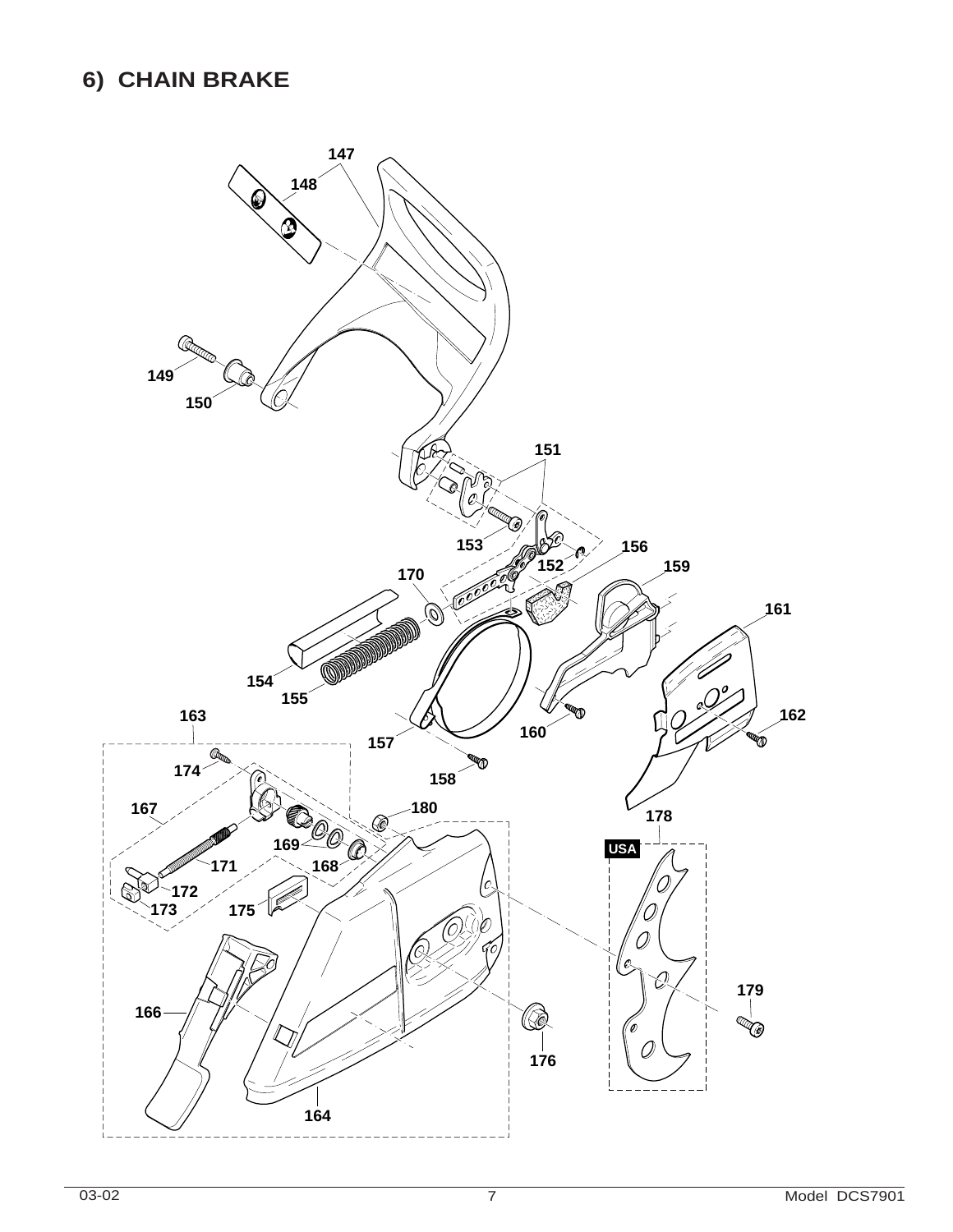#### **6) CHAIN BRAKE**

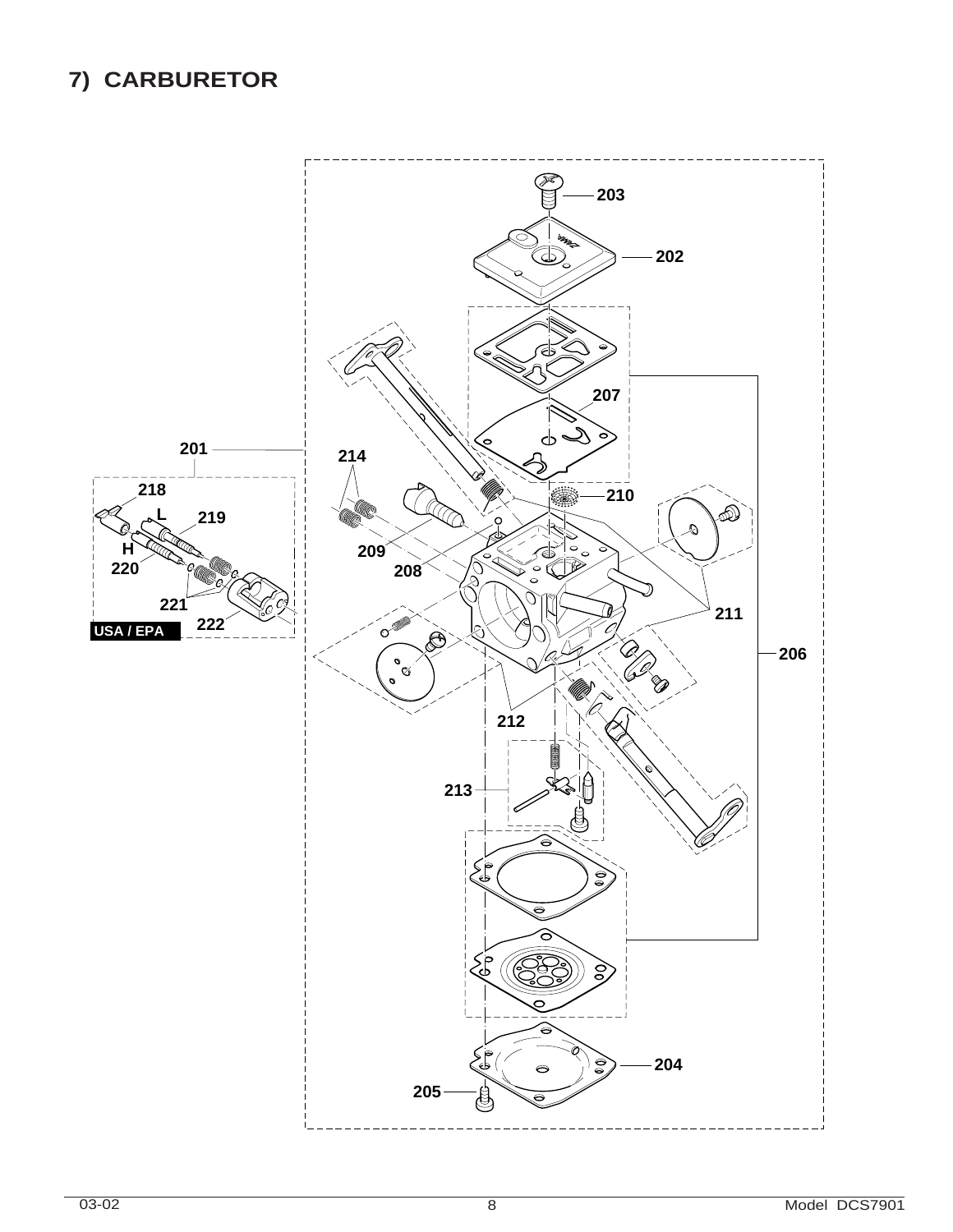## **7) CARBURETOR**

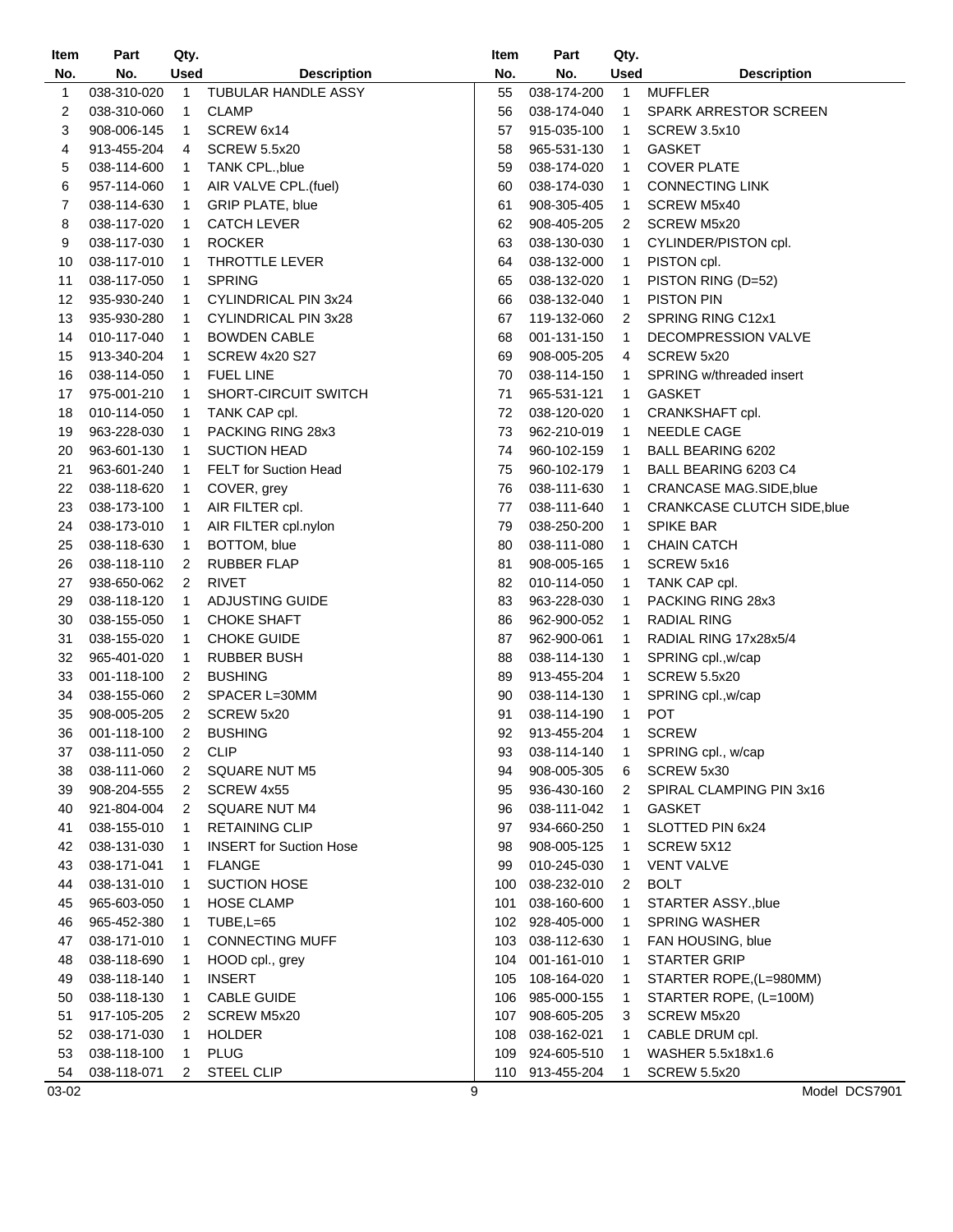| Item  | Part        | Qty.         |                                | Item | Part        | Qty. |                                    |
|-------|-------------|--------------|--------------------------------|------|-------------|------|------------------------------------|
| No.   | No.         | Used         | <b>Description</b>             | No.  | No.         | Used | <b>Description</b>                 |
| 1     | 038-310-020 | 1            | TUBULAR HANDLE ASSY            | 55   | 038-174-200 | 1    | <b>MUFFLER</b>                     |
| 2     | 038-310-060 | 1            | <b>CLAMP</b>                   | 56   | 038-174-040 | 1    | <b>SPARK ARRESTOR SCREEN</b>       |
| 3     | 908-006-145 | 1            | SCREW 6x14                     | 57   | 915-035-100 | 1    | <b>SCREW 3.5x10</b>                |
| 4     | 913-455-204 | 4            | <b>SCREW 5.5x20</b>            | 58   | 965-531-130 | 1    | <b>GASKET</b>                      |
| 5     | 038-114-600 | $\mathbf{1}$ | TANK CPL., blue                | 59   | 038-174-020 | 1    | <b>COVER PLATE</b>                 |
| 6     | 957-114-060 | $\mathbf{1}$ | AIR VALVE CPL.(fuel)           | 60   | 038-174-030 | 1    | <b>CONNECTING LINK</b>             |
| 7     | 038-114-630 | $\mathbf{1}$ | GRIP PLATE, blue               | 61   | 908-305-405 | 1    | SCREW M5x40                        |
| 8     | 038-117-020 | 1            | <b>CATCH LEVER</b>             | 62   | 908-405-205 | 2    | SCREW M5x20                        |
| 9     | 038-117-030 | 1            | <b>ROCKER</b>                  | 63   | 038-130-030 | 1    | CYLINDER/PISTON cpl.               |
| 10    | 038-117-010 | 1            | THROTTLE LEVER                 | 64   | 038-132-000 | 1    | PISTON cpl.                        |
| 11    | 038-117-050 | 1            | <b>SPRING</b>                  | 65   | 038-132-020 | 1    | PISTON RING (D=52)                 |
| 12    | 935-930-240 | 1            | CYLINDRICAL PIN 3x24           | 66   | 038-132-040 | 1    | <b>PISTON PIN</b>                  |
| 13    | 935-930-280 | 1            | CYLINDRICAL PIN 3x28           | 67   | 119-132-060 | 2    | SPRING RING C12x1                  |
| 14    | 010-117-040 | 1            | <b>BOWDEN CABLE</b>            | 68   | 001-131-150 | 1    | DECOMPRESSION VALVE                |
| 15    | 913-340-204 | 1            | <b>SCREW 4x20 S27</b>          | 69   | 908-005-205 | 4    | SCREW 5x20                         |
| 16    | 038-114-050 | 1            | <b>FUEL LINE</b>               | 70   | 038-114-150 | 1    | SPRING w/threaded insert           |
|       |             |              |                                | 71   |             |      |                                    |
| 17    | 975-001-210 | 1            | SHORT-CIRCUIT SWITCH           |      | 965-531-121 | 1    | <b>GASKET</b>                      |
| 18    | 010-114-050 | 1            | TANK CAP cpl.                  | 72   | 038-120-020 | 1    | CRANKSHAFT cpl.                    |
| 19    | 963-228-030 | 1            | PACKING RING 28x3              | 73   | 962-210-019 | 1    | NEEDLE CAGE                        |
| 20    | 963-601-130 | 1            | <b>SUCTION HEAD</b>            | 74   | 960-102-159 | 1    | <b>BALL BEARING 6202</b>           |
| 21    | 963-601-240 | 1            | <b>FELT</b> for Suction Head   | 75   | 960-102-179 | 1    | BALL BEARING 6203 C4               |
| 22    | 038-118-620 | 1            | COVER, grey                    | 76   | 038-111-630 | 1    | CRANCASE MAG.SIDE, blue            |
| 23    | 038-173-100 | 1            | AIR FILTER cpl.                | 77   | 038-111-640 | 1    | <b>CRANKCASE CLUTCH SIDE, blue</b> |
| 24    | 038-173-010 | 1            | AIR FILTER cpl.nylon           | 79   | 038-250-200 | 1    | <b>SPIKE BAR</b>                   |
| 25    | 038-118-630 | 1            | BOTTOM, blue                   | 80   | 038-111-080 | 1    | <b>CHAIN CATCH</b>                 |
| 26    | 038-118-110 | 2            | <b>RUBBER FLAP</b>             | 81   | 908-005-165 | 1    | SCREW 5x16                         |
| 27    | 938-650-062 | 2            | <b>RIVET</b>                   | 82   | 010-114-050 | 1    | TANK CAP cpl.                      |
| 29    | 038-118-120 | 1            | ADJUSTING GUIDE                | 83   | 963-228-030 | 1    | PACKING RING 28x3                  |
| 30    | 038-155-050 | 1            | <b>CHOKE SHAFT</b>             | 86   | 962-900-052 | 1    | RADIAL RING                        |
| 31    | 038-155-020 | 1            | <b>CHOKE GUIDE</b>             | 87   | 962-900-061 | 1    | RADIAL RING 17x28x5/4              |
| 32    | 965-401-020 | 1            | <b>RUBBER BUSH</b>             | 88   | 038-114-130 | 1    | SPRING cpl., w/cap                 |
| 33    | 001-118-100 | 2            | <b>BUSHING</b>                 | 89   | 913-455-204 | 1    | <b>SCREW 5.5x20</b>                |
| 34    | 038-155-060 | 2            | SPACER L=30MM                  | 90   | 038-114-130 | 1    | SPRING cpl., w/cap                 |
| 35    | 908-005-205 | 2            | SCREW 5x20                     | 91   | 038-114-190 | 1    | <b>POT</b>                         |
| 36    | 001-118-100 | 2            | <b>BUSHING</b>                 | 92   | 913-455-204 | 1    | <b>SCREW</b>                       |
| 37    | 038-111-050 | 2            | <b>CLIP</b>                    | 93   | 038-114-140 | 1    | SPRING cpl., w/cap                 |
| 38    | 038-111-060 | 2            | <b>SQUARE NUT M5</b>           | 94   | 908-005-305 | 6    | SCREW 5x30                         |
| 39    | 908-204-555 | 2            | SCREW 4x55                     | 95   | 936-430-160 | 2    | SPIRAL CLAMPING PIN 3x16           |
| 40    | 921-804-004 | 2            | SQUARE NUT M4                  | 96   | 038-111-042 | 1    | GASKET                             |
| 41    | 038-155-010 | 1            | <b>RETAINING CLIP</b>          | 97   | 934-660-250 | 1    | SLOTTED PIN 6x24                   |
| 42    | 038-131-030 | 1            | <b>INSERT</b> for Suction Hose | 98   | 908-005-125 | 1    | SCREW 5X12                         |
| 43    | 038-171-041 | 1            | <b>FLANGE</b>                  | 99   | 010-245-030 | 1    | <b>VENT VALVE</b>                  |
| 44    | 038-131-010 | 1            | <b>SUCTION HOSE</b>            | 100  | 038-232-010 | 2    | <b>BOLT</b>                        |
| 45    | 965-603-050 | 1            | <b>HOSE CLAMP</b>              | 101  | 038-160-600 | 1    | STARTER ASSY., blue                |
| 46    | 965-452-380 | $\mathbf{1}$ | TUBE, L=65                     | 102  | 928-405-000 | 1    | <b>SPRING WASHER</b>               |
| 47    | 038-171-010 | 1            | <b>CONNECTING MUFF</b>         | 103  | 038-112-630 | 1    | FAN HOUSING, blue                  |
| 48    | 038-118-690 | $\mathbf{1}$ | HOOD cpl., grey                | 104  | 001-161-010 | 1    | <b>STARTER GRIP</b>                |
| 49    | 038-118-140 | 1            | <b>INSERT</b>                  | 105  | 108-164-020 | 1    | STARTER ROPE, (L=980MM)            |
| 50    | 038-118-130 | 1            | <b>CABLE GUIDE</b>             | 106  | 985-000-155 | 1    | STARTER ROPE, (L=100M)             |
| 51    | 917-105-205 | 2            | <b>SCREW M5x20</b>             | 107  | 908-605-205 | 3    | <b>SCREW M5x20</b>                 |
| 52    | 038-171-030 | 1            | <b>HOLDER</b>                  | 108  | 038-162-021 | 1    | CABLE DRUM cpl.                    |
| 53    | 038-118-100 | 1            | <b>PLUG</b>                    | 109  | 924-605-510 | 1    | WASHER 5.5x18x1.6                  |
| 54    | 038-118-071 | 2            | STEEL CLIP                     | 110  | 913-455-204 | 1    | <b>SCREW 5.5x20</b>                |
| 03-02 |             |              |                                | 9    |             |      | Model DCS7901                      |